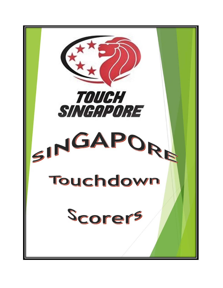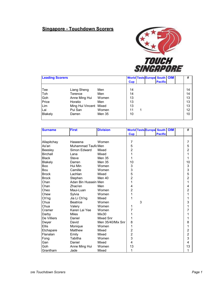## **Singapore - Touchdown Scorers**



| <b>Leading Scorers</b> |                        |        | <b>World Tests Europe South OIM</b> |  |                |  | #  |
|------------------------|------------------------|--------|-------------------------------------|--|----------------|--|----|
|                        |                        |        | <b>Cup</b>                          |  | <b>Pacific</b> |  |    |
|                        |                        |        |                                     |  |                |  |    |
| Tee                    | Liang Sheng            | Men    | 14                                  |  |                |  | 14 |
| Toh                    | Terence                | Men    | 14                                  |  |                |  | 14 |
| Goh                    | Anne Ming Hui          | Women  | 13                                  |  |                |  | 13 |
| Price                  | Horatio                | Men    | 13                                  |  |                |  | 13 |
| Lim                    | Ming Hui Vincent Mixed |        | 13                                  |  |                |  | 13 |
| Lai                    | Pui San                | Women  | 11                                  |  |                |  | 12 |
| <b>Blakely</b>         | Darren                 | Men 35 | 10                                  |  |                |  | 10 |

| <b>Surname</b>  | <b>First</b>         | <b>Division</b>   |                |   | <b>World Tests Europe South OIM</b> |                |  | #              |
|-----------------|----------------------|-------------------|----------------|---|-------------------------------------|----------------|--|----------------|
|                 |                      |                   | <b>Cup</b>     |   |                                     | <b>Pacific</b> |  |                |
|                 |                      |                   |                |   |                                     |                |  |                |
| Allapitchay     | Haseena              | Women             | 7              |   |                                     |                |  | 7              |
| As'ari          | Muhammad Taufic Men  |                   | 5              |   |                                     |                |  | 5              |
| Beesley         | Simon Edward         | Mixed             | $\overline{2}$ |   |                                     |                |  | $\overline{c}$ |
| <b>Birchall</b> | Lana                 | Mixed             | 1              |   |                                     |                |  | 1              |
| <b>Black</b>    | Steve                | <b>Men 35</b>     | 1              |   |                                     |                |  | 1              |
| <b>Blakely</b>  | Darren               | <b>Men 35</b>     | 10             |   |                                     |                |  | 10             |
| <b>Boo</b>      | Hui Min              | Women             | 3              |   |                                     |                |  | 3              |
| Bou             | Camille              | Women             | 3              |   |                                     |                |  | $\mathsf 3$    |
| <b>Brock</b>    | Lachlan              | Mixed             | 5              |   |                                     |                |  | 5              |
| <b>Brock</b>    | Stephen              | Men 40            | $\overline{c}$ |   |                                     |                |  | $\overline{c}$ |
| Chan            | Adan Bin Hussein Men |                   | 1              |   |                                     |                |  | 1              |
| Chan            | Zhao'en              | Men               | 4              |   |                                     |                |  | 4              |
| Cheo            | Maui-Luan            | Women             | $\overline{2}$ |   |                                     |                |  | $\overline{c}$ |
| Chew            | Sylvia               | Women             | 1              |   |                                     |                |  | 1              |
| Ch'ng           | Jia Li Ch'ng         | Mixed             | 1              |   |                                     |                |  | 1              |
| Chua            | <b>Beatrice</b>      | Women             |                | 3 |                                     |                |  | 3              |
| Chua            | Valery               | Women             | 1              |   |                                     |                |  | 1              |
| Cramer          | Karen Lai Yee        | Women             | 7              |   |                                     |                |  | 7              |
| Darby           | <b>Miles</b>         | Mix30             | 1              |   |                                     |                |  | 1              |
| De Villiers     | Daniel               | Mixed Snr         | 1              |   |                                     |                |  | 1              |
| Dwyer           | David                | Men 35/40/Mix Snr | 8              |   |                                     |                |  | 8              |
| <b>Ellis</b>    | Monique              | Women             | 1              |   |                                     |                |  | 1              |
| Etchapare       | Matthew              | Mixed             | $\overline{2}$ |   |                                     |                |  | $\overline{c}$ |
| Flanalan        | Emily                | Mixed             | $\overline{2}$ |   |                                     |                |  | $\overline{c}$ |
| Fong            | Tabitha              | Women             | 3              |   |                                     |                |  | 3              |
| Gan             | Daniel               | Mixed             | 4              |   |                                     |                |  | 4              |
| Goh             | Anne Ming Hui        | Women             | 13             |   |                                     |                |  | 13             |
| Grantham        | Jade                 | Mixed             | 1              |   |                                     |                |  | 1              |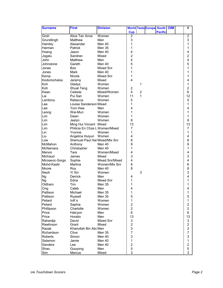| <b>Surname</b>  | <b>First</b>                   | <b>Division</b> |                         |                         | <b>World Tests Europe South OIM</b> |                |  | #                       |
|-----------------|--------------------------------|-----------------|-------------------------|-------------------------|-------------------------------------|----------------|--|-------------------------|
|                 |                                |                 | <b>Cup</b>              |                         |                                     | <b>Pacific</b> |  |                         |
| Groh            | Alice Tan Anne                 | Women           | $\overline{2}$          |                         |                                     |                |  | $\overline{2}$          |
| Grundlingh      | Matthew                        | Men             | 3                       |                         |                                     |                |  | 3                       |
| Hambly          | Alexander                      | Men 40          | 1                       |                         |                                     |                |  | 1                       |
| <b>Harman</b>   | Patrick                        | <b>Men 35</b>   | 1                       |                         |                                     |                |  | 1                       |
| Hoang           | Jason                          | Men 40          | 4                       |                         |                                     |                |  | 4                       |
| Jogalu          | Sandran                        | Mixed           | $\overline{c}$          |                         |                                     |                |  | $\overline{c}$          |
| John            | Matthew                        | Men             | 4                       |                         |                                     |                |  | 4                       |
| Johnstone       | Gareth                         | Men 40          | 5                       |                         |                                     |                |  | 5                       |
| Jones           | <b>Boo</b>                     | Mixed Snr       | 1                       |                         |                                     |                |  | 1                       |
| Jones           | <b>Mark</b>                    | Men 40          | 1                       |                         |                                     |                |  | 1                       |
| Kemp            | Nicola                         | Mixed Snr       | 1                       |                         |                                     |                |  | 1                       |
| Kodomichalos    | Jeremy                         | Mixed           | 4                       |                         |                                     |                |  | 4                       |
| Koh             | Gladys                         | Women           |                         | 1                       |                                     |                |  | 1                       |
| Koh             | <b>Shuat Teng</b>              | Women           | $\overline{c}$          |                         |                                     |                |  | $\overline{c}$          |
| Kwan            | Celeste                        | Mixed/Women     | 4                       | $\overline{\mathbf{c}}$ |                                     |                |  | 6                       |
| lLai            | Pui San                        | Women           | 11                      | $\mathbf{1}$            |                                     |                |  | 12                      |
| Lambrou         | Rebecca                        | Women           | 5                       |                         |                                     |                |  | 5                       |
| Lee             | Louise Sanderson Mixed         |                 | 1                       |                         |                                     |                |  | 1                       |
| Lee             | Yum Hwa                        | Men             | 4                       |                         |                                     |                |  | 4                       |
| Leong           | Wai-Mun                        | Women           | 1                       |                         |                                     |                |  | 1                       |
| Lim             | Dawn                           | Women           | 1                       |                         |                                     |                |  | 1                       |
| Lim             | Jeslyn                         | Women           | 8                       |                         |                                     |                |  | 8                       |
| Lim             | Ming Hui Vincent Mixed         |                 | 13                      |                         |                                     |                |  | 13                      |
| Lim             | Philicia En Chze L Women/Mixed |                 | 7                       |                         |                                     |                |  | 7                       |
| Lin             | Yvonne                         | Women           | 1                       |                         |                                     |                |  | 1                       |
| Liu             | Angelina Huiyun Women          |                 | 4                       |                         |                                     |                |  | 4                       |
| Low             | Shemuel Paul Har Mixed/Mix Snr |                 | 8                       |                         |                                     |                |  | 8                       |
| McMahon         | Anthony                        | Men 40          | 9                       |                         |                                     |                |  | 9                       |
| McNamara        | Christopher                    | Men 40          | 1                       |                         |                                     |                |  | 1                       |
| Menon           | Tara                           | Women/Mixed     | 4                       |                         |                                     |                |  | 4                       |
| Michaud         | James                          | Mixed           | 3                       |                         |                                     |                |  | 3                       |
| Mirosevic-Sorgo | Sophie                         | Mixed Snr/Mixed | 4                       |                         |                                     |                |  | 4                       |
| Mohd-Kasbi      | Marlina                        | Women/Mix Snr   | 6                       |                         |                                     |                |  | 6                       |
| Moore           | Roy                            | Men 40          | 8                       |                         |                                     |                |  | 8                       |
| Neoh            | Yi Xin                         | Women           |                         | 3                       |                                     |                |  | 3                       |
| <b>Ng</b>       | <b>Derrick</b>                 | Men             | 4                       |                         |                                     |                |  | 4                       |
| <b>Ng</b>       | Edna                           | Mixed Snr       | 1                       |                         |                                     |                |  | 1                       |
| Oldham          | Tim                            | <b>Men 35</b>   | 1                       |                         |                                     |                |  | 1                       |
| Ong             | Caleb                          | Men             | Λ                       |                         |                                     |                |  |                         |
| Pattison        | Michael                        | Men 35          | 1                       |                         |                                     |                |  | 1                       |
| Pattison        | Russell                        | <b>Men 35</b>   | 5                       |                         |                                     |                |  | 5                       |
| Petard          | Inès                           | Women           | 1                       |                         |                                     |                |  | 1                       |
| Petard          | Saphia                         | Women           | $\overline{\mathbf{c}}$ |                         |                                     |                |  | $\overline{\mathbf{c}}$ |
| Phillipson      | Charlotte                      | Women           | $\overline{c}$          |                         |                                     |                |  | $\overline{c}$          |
| Price           | Halcyon                        | Men             | 6                       |                         |                                     |                |  | 6                       |
| Price           | Horatio                        | Men             | 13                      |                         |                                     |                |  | 13                      |
| Rahardja        | David                          | Mixed Snr       | 3                       |                         |                                     |                |  | 3                       |
| Rawlinson       | Grant                          | Mixed           | $\overline{\mathbf{c}}$ |                         |                                     |                |  | $\overline{c}$          |
| Razak           | Khairullah Bin Abc Men         |                 | 3                       |                         |                                     |                |  | 3                       |
| Richardson      | Clive                          | <b>Men 35</b>   | $\overline{7}$          |                         |                                     |                |  | $\overline{7}$          |
| <b>Roberts</b>  | Simon                          | Men 40          | 3                       |                         |                                     |                |  | 3                       |
| Salamon         | Jamie                          | Men 40          | 1                       |                         |                                     |                |  | 1                       |
| <b>Sanders</b>  | Lee                            | Men 40          | $\overline{\mathbf{c}}$ |                         |                                     |                |  | $\overline{c}$          |
| Shao            | Guoyong                        | Men             | 5                       |                         |                                     |                |  | 5                       |
| Sim             | Marcus                         | Mixed           | 3                       |                         |                                     |                |  | 3                       |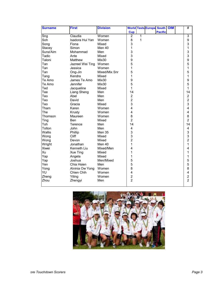| <b>Surname</b> | <b>First</b>     | <b>Division</b> |                         |                | <b>World Tests Europe South OIM</b> |                |  | $\overline{\#}$ |
|----------------|------------------|-----------------|-------------------------|----------------|-------------------------------------|----------------|--|-----------------|
|                |                  |                 | <b>Cup</b>              |                |                                     | <b>Pacific</b> |  |                 |
| Sng            | Claudia          | Women           | $\overline{2}$          | $\overline{1}$ |                                     |                |  | $\overline{3}$  |
| Soh            | Isadora Hui Yan  | Women           | 8                       | 1              |                                     |                |  | 9               |
| Song           | Fiona            | Mixed           | 3                       |                |                                     |                |  | 3               |
| <b>Stacey</b>  | Simon            | Men 40          | 1                       |                |                                     |                |  | 1               |
| Suna'Aim       | Mohammad         | Men             | 3                       |                |                                     |                |  | 3               |
| Tadic          | Ante             | Mixed           | 3                       |                |                                     |                |  | 3               |
| Taloni         | Matthew          | Mix30           | 9                       |                |                                     |                |  | 9               |
| Tan            | Jazreel Wei Ting | Women           | 5                       |                |                                     |                |  | 5               |
| Tan            | Jessica          | Women           | 1                       |                |                                     |                |  | 1               |
| Tan            | Ong-Jin          | Mixed/Mix Snr   | 5                       |                |                                     |                |  | 5               |
| Tang           | Kendra           | Mixed           | 1                       |                |                                     |                |  | 1               |
| Te Amo         | James Te Amo     | Mix30           | 9                       |                |                                     |                |  | 9               |
| Te Amo         | Jennifer         | Mix30           | 5                       |                |                                     |                |  | 5               |
| Ted            | Jacqueline       | Mixed           | 1                       |                |                                     |                |  | 1               |
| Tee            | Liang Sheng      | Men             | 14                      |                |                                     |                |  | 14              |
| Teo            | Abel             | Men             | $\overline{c}$          |                |                                     |                |  | $\overline{c}$  |
| Teo            | David            | Men             | $\overline{c}$          |                |                                     |                |  | $\overline{c}$  |
| Teo            | Gracia           | Mixed           | 3                       |                |                                     |                |  | 3               |
| Tham           | Karen            | Women           | 4                       |                |                                     |                |  | 4               |
| The            | Krusty           | Women           | 4                       |                |                                     |                |  | 4               |
| Thomson        | Maureen          | Women           | 8                       |                |                                     |                |  | 8               |
| Ting           | Ben              | Mixed           | $\overline{2}$          |                |                                     |                |  | $\overline{2}$  |
| Toh            | Terence          | Men             | 14                      |                |                                     |                |  | 14              |
| Tolton         | <b>John</b>      | Men             | 4                       |                |                                     |                |  | 4               |
| Wallis         | Phillip          | <b>Men 35</b>   | 3                       |                |                                     |                |  | 3               |
| Wong           | Cliff            | Mixed           | 3                       |                |                                     |                |  | 3               |
| Wong           | Devon            | Mixed           | $\overline{c}$          |                |                                     |                |  | $\overline{c}$  |
| Wright         | Jonathan         | Men 40          | 1                       |                |                                     |                |  | 1               |
| Xiwei          | Kenneth Liu      | Mixed/Men       | 4                       |                |                                     |                |  | 4               |
| Xu             | Xue Ting         | Mixed           | 1                       |                |                                     |                |  | 1               |
| Yap            | Angela           | Mixed           | 1                       |                |                                     |                |  | 1               |
| Yap            | Joshua           | Men/Mixed       | 5                       |                |                                     |                |  | 5               |
| Yen            | Chia Hsien       | Men             | 5                       |                |                                     |                |  | 5               |
| Yong           | Alvinia Ow Yong  | Women           | 8                       |                |                                     |                |  | 8               |
| YU             | Chien Chih       | Women           | 4                       |                |                                     |                |  | 4               |
| Zheng          | Yiting           | Women           | $\overline{\mathbf{c}}$ |                |                                     |                |  | $\overline{c}$  |
| Zhou           | Zhengyi          | Men             | $\overline{2}$          |                |                                     |                |  | $\overline{2}$  |
|                |                  |                 |                         |                |                                     |                |  |                 |

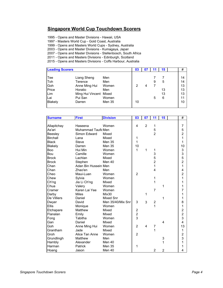## **Singapore World Cup Touchdown Scorers**

1995 - Opens and Master Divisions - Hawaii, USA

1997 - Masters World Cup - Gold Coast, Australia

1999 - Opens and Masters World Cups - Sydney, Australia

2003 - Opens and Master Divisions - Kumagaya, Japan

2007 - Opens and Master Divisions - Stellenbosch, South Africa

2011 - Opens and Masters Divisions - Edinburgh, Scotland

2015 - Opens and Masters Divisions - Coffs Harbour, Australia

| <b>Leading Scorers</b> |                        |               | 03 |   | 15 | #  |
|------------------------|------------------------|---------------|----|---|----|----|
|                        |                        |               |    |   |    |    |
| Tee                    | Liang Sheng            | Men           |    |   |    | 14 |
| Toh                    | Terence                | Men           |    | 9 | 5  | 14 |
| Goh                    | Anne Ming Hui          | Women         | 2  |   |    | 13 |
| Price                  | Horatio                | Men           |    |   | 13 | 13 |
| Lim                    | Ming Hui Vincent Mixed |               |    |   | 13 | 13 |
| Lai                    | Pui San                | Women         |    | 5 | 6  | 11 |
| <b>Blakely</b>         | Darren                 | <b>Men 35</b> | 10 |   |    | 10 |
|                        |                        |               |    |   |    |    |

| <b>Surname</b>  | <b>First</b>               | <b>Division</b>   | 03             | 07             | 11             | 15             | #              |
|-----------------|----------------------------|-------------------|----------------|----------------|----------------|----------------|----------------|
|                 |                            |                   |                |                |                |                |                |
| Allapitchay     | Haseena                    | Women             | 4              | $\overline{2}$ | 1              |                | 7              |
| As'ari          | <b>Muhammad Taufic Men</b> |                   |                |                | 5              |                | 5              |
| Beesley         | Simon Edward               | Mixed             |                |                | $\overline{2}$ |                | $\overline{c}$ |
| <b>Birchall</b> | Lana                       | Mixed             | 1              |                |                |                | $\overline{1}$ |
| <b>Black</b>    | <b>Steve</b>               | Men 35            | 1              |                |                |                | 1              |
| Blakely         | Darren                     | <b>Men 35</b>     | 10             |                |                |                | 10             |
| <b>Boo</b>      | Hui Min                    | Women             | 1              | 1              | 1              |                | 3              |
| Bou             | Camille                    | Women             |                |                | 3              |                | 3<br>5         |
| <b>Brock</b>    | Lachlan                    | Mixed             |                |                | 5              |                |                |
| <b>Brock</b>    | Stephen                    | Men 40            |                |                | $\overline{2}$ |                | $\overline{2}$ |
| Chan            | Adan Bin Hussein Men       |                   |                |                | 1              |                | $\mathbf{1}$   |
| Chan            | Zhao'en                    | Men               |                |                | 4              |                | 4              |
| Cheo            | Maui-Luan                  | Women             | $\overline{2}$ |                |                |                | $\overline{c}$ |
| Chew            | Sylvia                     | Women             |                |                | 1              |                | 1              |
| Ch'ng           | Jia Li Ch'ng               | Mixed             |                |                | 1              |                | 1              |
| Chua            | Valery                     | Women             |                |                |                | 1              | 1              |
| Cramer          | Karen Lai Yee              | Women             |                |                | $\overline{7}$ |                | 7              |
| Darby           | <b>Miles</b>               | Mix30             |                | 1              |                |                | 1              |
| De Villiers     | Daniel                     | Mixed Snr         |                |                |                | 1              | 1              |
| Dwyer           | David                      | Men 35/40/Mix Snr | 3              | 3              | 2              |                | 8              |
| <b>Ellis</b>    | Monique                    | Women             |                |                | 1              |                | 1              |
| Etchapare       | Matthew                    | Mixed             |                |                |                |                |                |
| Flanalan        | Emily                      | Mixed             | $\frac{2}{2}$  |                |                |                | $\frac{2}{2}$  |
| Fong            | Tabitha                    | Women             | $\overline{3}$ |                |                |                | 3              |
| Gan             | Daniel                     | Mixed             |                |                |                | 4              | 4              |
| Goh             | Anne Ming Hui              | Women             | $\overline{2}$ | 4              | 7              |                | 13             |
| Grantham        | Jade                       | Mixed             |                |                | 1              |                | 1              |
| Groh            | Alice Tan Anne             | Women             | $\overline{2}$ |                |                |                | $\overline{c}$ |
| Grundlingh      | Matthew                    | Men               |                |                |                | 3              | 3              |
| Hambly          | Alexander                  | Men 40            |                |                |                | 1              | 1              |
| Harman          | Patrick                    | Men 35            | 1              |                |                |                | 1              |
| Hoang           | Jason                      | Men 40            |                |                | $\overline{c}$ | $\overline{2}$ | 4              |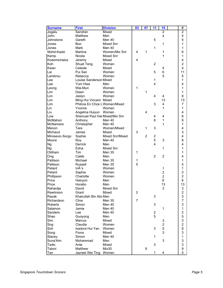| <b>Surname</b><br><b>First</b>        | <b>Division</b>  | 03             | 07             | 11                      | 15                      | #                       |
|---------------------------------------|------------------|----------------|----------------|-------------------------|-------------------------|-------------------------|
| Sandran<br>Jogalu                     | Mixed            |                |                |                         | $\overline{2}$          | $\overline{2}$          |
| John<br>Matthew                       | Men              |                |                |                         | 4                       | 4                       |
| Johnstone<br>Gareth                   | Men 40           |                |                | 5                       |                         | 5                       |
| Jones<br>Boo                          | Mixed Snr        |                |                |                         | 1                       | 1                       |
| <b>Mark</b><br>Jones                  | Men 40           |                |                | 1                       |                         | 1                       |
| Mohd-Kasbi<br>Marlina                 | Women/Mix Snr    | 4              | 1              |                         | 1                       | 6                       |
| Kemp<br>Nicola                        | <b>Mixed Snr</b> |                |                |                         | 1                       | 1                       |
| Kodomichalos<br>Jeremy                | Mixed            | 4              |                |                         |                         | 4                       |
| Koh<br><b>Shuat Teng</b>              | Women            |                |                | $\overline{2}$          |                         | $\overline{2}$          |
| Kwan<br>Celeste                       | Mixed            |                |                |                         | 4                       | 4                       |
| Pui San<br>Lai                        | Women            |                |                | 5                       | 6                       | 11                      |
| Lambrou<br>Rebecca                    | Women            |                |                |                         | 5                       | 5                       |
| Louise Sanderson Mixed<br>Lee         |                  |                |                | $\mathbf{1}$            |                         | 1                       |
| Yum Hwa<br>Lee                        | Men              |                |                | 4                       |                         | 4                       |
| Wai-Mun<br>Leong                      | Women            | 1              |                |                         |                         | 1                       |
| Lim<br>Dawn                           | Women            |                | 1              |                         |                         | 1                       |
| Lim<br>Jeslyn                         | Women            |                |                | 4                       | 4                       | 8                       |
| Ming Hui Vincent Mixed<br>Lim         |                  |                |                |                         | 13                      | 13                      |
| Philicia En Chze L Women/Mixed<br>Lim |                  |                |                | 3                       | 4                       | $\overline{7}$          |
| Lin<br>Yvonne                         | Women            |                |                |                         | 1                       | 1                       |
| Liu<br>Angelina Huiyun Women          |                  |                | $\overline{4}$ |                         |                         | 4                       |
| Shemuel Paul Har Mixed/Mix Snr<br>Low |                  |                |                | 4                       | 4                       | 8                       |
| McMahon<br>Anthony                    | Men 40           |                |                | 8                       | 1                       | 9                       |
| McNamara<br>Christopher               | Men 40           |                |                |                         | 1                       | 1                       |
| Menon<br>Tara                         | Women/Mixed      |                | 1              | 3                       |                         | 4                       |
| Michaud<br>James                      | Mixed            | 3              |                |                         |                         | 3                       |
| Mirosevic-Sorgo<br>Sophie             | Mixed Snr/Mixed  |                | $\overline{2}$ | $\overline{\mathbf{c}}$ |                         | 4                       |
| Moore<br>Roy                          | Men 40           |                |                | 5                       | 3                       | 8                       |
| <b>Ng</b><br><b>Derrick</b>           | Men              |                |                | 4                       |                         | $\overline{4}$          |
| Ng<br>Edna                            | Mixed Snr        |                |                |                         | 1                       | 1                       |
| Oldham<br>Tim                         | <b>Men 35</b>    | 1              |                |                         |                         | 1                       |
| Caleb<br>Ong                          | Men              |                |                | $\overline{2}$          | $\overline{2}$          | 4                       |
| Pattison<br>Michael                   | <b>Men 35</b>    | 1              |                |                         |                         | 1                       |
| Pattison<br>Russell                   | <b>Men 35</b>    | 5              |                |                         |                         | 5                       |
| InÃ <sup>"</sup> s<br>Petard          | Women            |                |                |                         | 1                       | 1                       |
| Petard<br>Saphia                      | Women            |                |                |                         | $\overline{\mathbf{c}}$ | $\overline{c}$          |
| Phillipson<br>Charlotte               | Women            |                |                |                         | $\overline{2}$          | $\overline{c}$          |
| Price<br>Halcyon                      | Men              |                |                |                         | 6                       | 6                       |
| Price<br>Horatio                      | Men              |                |                |                         | 13                      | 13                      |
| Rahardja<br>David                     | Mixed Snr        |                |                |                         | 3                       | 3                       |
| Rawlinson<br>Grant                    | Mixed            | 2              |                |                         |                         | $\overline{c}$          |
| Razak<br>Khairullah Bin Abc Men       |                  |                |                | 3                       |                         | 3                       |
| Richardson<br>Clive                   | <b>Men 35</b>    | $\overline{7}$ |                |                         |                         | $\overline{7}$          |
| Roberts<br>Simon                      | Men 40           |                |                | 3                       |                         | 3                       |
| Salamon<br>Jamie                      | Men 40           |                |                |                         | 1                       | $\mathbf{1}$            |
| Sanders<br>Lee                        | Men 40           |                |                | $\overline{\mathbf{c}}$ |                         | $\overline{\mathbf{c}}$ |
| Shao<br>Guoyong                       | Men              |                |                | 5                       |                         | 5                       |
| Sim<br>Marcus                         | Mixed            |                |                |                         | 3                       | 3                       |
| Claudia<br>Sng                        | Women            |                |                |                         | $\overline{c}$          | $\overline{c}$          |
| Soh<br>Isadora Hui Yan                | Women            |                |                | 3                       | 5                       | 8                       |
| Song<br>Fiona                         | Mixed            |                |                |                         | 3                       | 3                       |
| Stacey<br>Simon                       | Men 40           |                |                | $\mathbf{1}$            |                         | $\mathbf 1$             |
| Suna'Aim<br>Mohammad                  | Men              |                |                |                         | 3                       | 3                       |
| Tadic<br>Ante                         | Mixed            |                |                | 3                       |                         | 3                       |
| Taloni<br>Matthew                     | Mix30            |                | 9              |                         |                         | 9                       |
| Tan<br>Jazreel Wei Ting               | Women            |                |                | 1                       | 4                       | 5                       |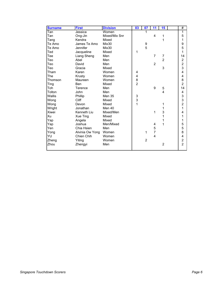| <b>Surname</b>   | <b>First</b>    | <b>Division</b> | 03             | 07             | 11             | 15             | #                                          |
|------------------|-----------------|-----------------|----------------|----------------|----------------|----------------|--------------------------------------------|
| $\overline{Tan}$ | Jessica         | Women           |                |                |                |                | 1                                          |
| Tan              | Ong-Jin         | Mixed/Mix Snr   |                |                | 4              | 1              | 5                                          |
| Tang             | Kendra          | Mixed           |                |                |                | 1              | 1                                          |
| Te Amo           | James Te Amo    | Mix30           |                | 9              |                |                | $\frac{9}{5}$                              |
| Te Amo           | Jennifer        | Mix30           |                | $\overline{5}$ |                |                |                                            |
| Ted              | Jacqueline      | Mixed           | 1              |                |                |                | 1                                          |
| Tee              | Liang Sheng     | Men             |                |                | $\overline{7}$ | $\overline{7}$ | 14                                         |
| Teo              | Abel            | Men             |                |                |                | $\overline{2}$ | $\overline{\mathbf{c}}$                    |
| Teo              | David           | Men             |                |                | $\overline{2}$ |                | $\frac{2}{3}$                              |
| Teo              | Gracia          | Mixed           |                |                |                | 3              |                                            |
| Tham             | Karen           | Women           | 4              |                |                |                | $\overline{\mathbf{4}}$                    |
| The              | Krusty          | Women           | 4              |                |                |                | $\overline{\mathbf{r}}$                    |
| Thomson          | Maureen         | Women           | 8              |                |                |                | 8                                          |
| Ting             | <b>Ben</b>      | Mixed           | $\overline{2}$ |                |                |                | $\overline{2}$                             |
| Toh              | Terence         | Men             |                |                | 9              | 5              | 14                                         |
| Tolton           | John            | Men             |                |                |                | 4              | $\overline{\mathbf{4}}$                    |
| Wallis           | Phillip         | <b>Men 35</b>   | $\frac{3}{3}$  |                |                |                | $\begin{array}{c} 3 \\ 3 \\ 2 \end{array}$ |
| Wong             | Cliff           | Mixed           |                |                |                |                |                                            |
| Wong             | Devon           | Mixed           | 1              |                |                | 1              |                                            |
| Wright           | Jonathan        | Men 40          |                |                |                | 1              | $\overline{1}$                             |
| Xiwei            | Kenneth Liu     | Mixed/Men       |                |                | 1              | 3              | $\overline{\mathbf{4}}$                    |
| Xu               | Xue Ting        | Mixed           |                |                |                | 1              | 1                                          |
| Yap              | Angela          | Mixed           |                |                |                | 1              | 1                                          |
| Yap              | Joshua          | Men/Mixed       |                |                | 4              | 1              | $\frac{5}{5}$                              |
| Yen              | Chia Hsien      | Men             |                |                | 5              |                |                                            |
| Yong             | Alvinia Ow Yong | Women           |                | 1              | $\overline{7}$ |                | 8                                          |
| YU               | Chien Chih      | Women           |                |                | 4              |                | 4                                          |
| Zheng            | Yiting          | Women           |                | $\overline{2}$ |                |                | $\overline{c}$                             |
| Zhou             | Zhengyi         | Men             |                |                |                | $\overline{2}$ | $\overline{2}$                             |
|                  |                 |                 |                |                |                |                |                                            |